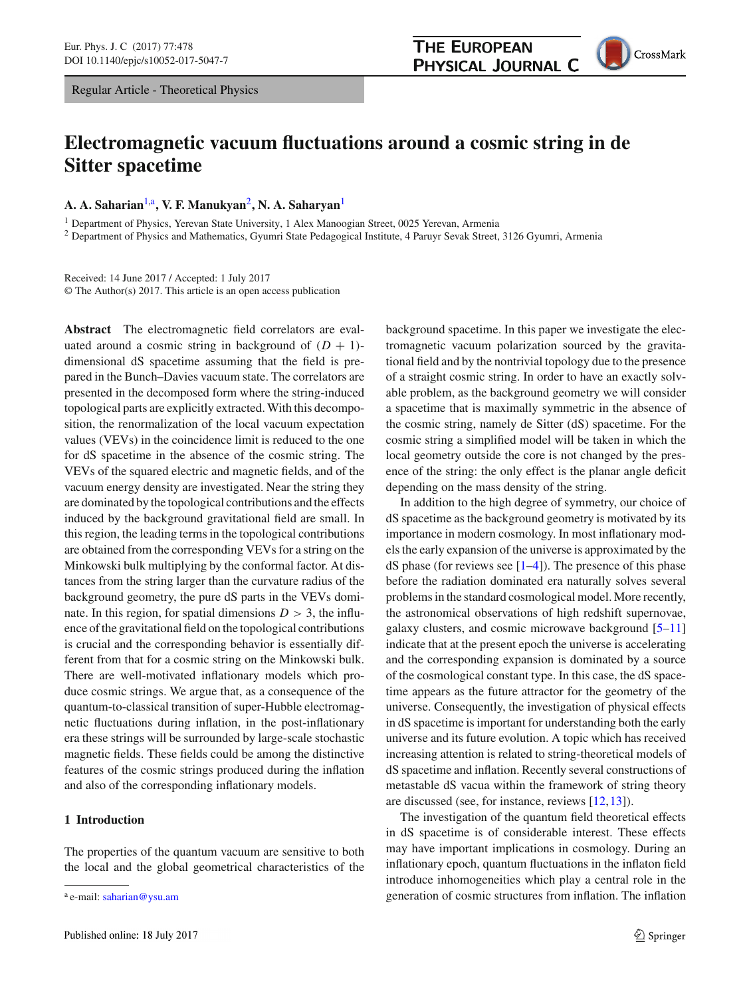CrossMark

# **Electromagnetic vacuum fluctuations around a cosmic string in de Sitter spacetime**

**A. A. Saharian**[1,](#page-0-0)a**, V. F. Manukyan**[2](#page-0-0)**, N. A. Saharyan**[1](#page-0-0)

<sup>1</sup> Department of Physics, Yerevan State University, 1 Alex Manoogian Street, 0025 Yerevan, Armenia

<sup>2</sup> Department of Physics and Mathematics, Gyumri State Pedagogical Institute, 4 Paruyr Sevak Street, 3126 Gyumri, Armenia

Received: 14 June 2017 / Accepted: 1 July 2017 © The Author(s) 2017. This article is an open access publication

**Abstract** The electromagnetic field correlators are evaluated around a cosmic string in background of  $(D + 1)$ dimensional dS spacetime assuming that the field is prepared in the Bunch–Davies vacuum state. The correlators are presented in the decomposed form where the string-induced topological parts are explicitly extracted. With this decomposition, the renormalization of the local vacuum expectation values (VEVs) in the coincidence limit is reduced to the one for dS spacetime in the absence of the cosmic string. The VEVs of the squared electric and magnetic fields, and of the vacuum energy density are investigated. Near the string they are dominated by the topological contributions and the effects induced by the background gravitational field are small. In this region, the leading terms in the topological contributions are obtained from the corresponding VEVs for a string on the Minkowski bulk multiplying by the conformal factor. At distances from the string larger than the curvature radius of the background geometry, the pure dS parts in the VEVs dominate. In this region, for spatial dimensions  $D > 3$ , the influence of the gravitational field on the topological contributions is crucial and the corresponding behavior is essentially different from that for a cosmic string on the Minkowski bulk. There are well-motivated inflationary models which produce cosmic strings. We argue that, as a consequence of the quantum-to-classical transition of super-Hubble electromagnetic fluctuations during inflation, in the post-inflationary era these strings will be surrounded by large-scale stochastic magnetic fields. These fields could be among the distinctive features of the cosmic strings produced during the inflation and also of the corresponding inflationary models.

# **1 Introduction**

The properties of the quantum vacuum are sensitive to both the local and the global geometrical characteristics of the <span id="page-0-0"></span>background spacetime. In this paper we investigate the electromagnetic vacuum polarization sourced by the gravitational field and by the nontrivial topology due to the presence of a straight cosmic string. In order to have an exactly solvable problem, as the background geometry we will consider a spacetime that is maximally symmetric in the absence of the cosmic string, namely de Sitter (dS) spacetime. For the cosmic string a simplified model will be taken in which the local geometry outside the core is not changed by the presence of the string: the only effect is the planar angle deficit depending on the mass density of the string.

In addition to the high degree of symmetry, our choice of dS spacetime as the background geometry is motivated by its importance in modern cosmology. In most inflationary models the early expansion of the universe is approximated by the dS phase (for reviews see  $[1-4]$  $[1-4]$ ). The presence of this phase before the radiation dominated era naturally solves several problems in the standard cosmological model. More recently, the astronomical observations of high redshift supernovae, galaxy clusters, and cosmic microwave background [\[5](#page-11-2)[–11\]](#page-11-3) indicate that at the present epoch the universe is accelerating and the corresponding expansion is dominated by a source of the cosmological constant type. In this case, the dS spacetime appears as the future attractor for the geometry of the universe. Consequently, the investigation of physical effects in dS spacetime is important for understanding both the early universe and its future evolution. A topic which has received increasing attention is related to string-theoretical models of dS spacetime and inflation. Recently several constructions of metastable dS vacua within the framework of string theory are discussed (see, for instance, reviews [\[12](#page-11-4),[13\]](#page-11-5)).

The investigation of the quantum field theoretical effects in dS spacetime is of considerable interest. These effects may have important implications in cosmology. During an inflationary epoch, quantum fluctuations in the inflaton field introduce inhomogeneities which play a central role in the generation of cosmic structures from inflation. The inflation

 $a$  e-mail: [saharian@ysu.am](mailto:saharian@ysu.am)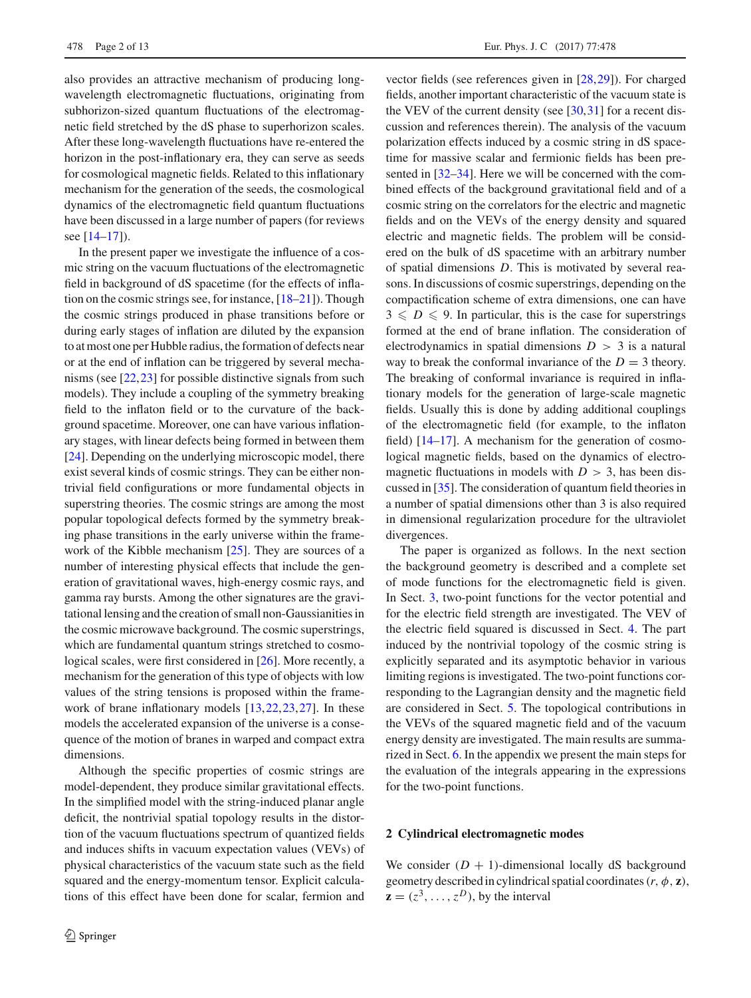also provides an attractive mechanism of producing longwavelength electromagnetic fluctuations, originating from subhorizon-sized quantum fluctuations of the electromagnetic field stretched by the dS phase to superhorizon scales. After these long-wavelength fluctuations have re-entered the horizon in the post-inflationary era, they can serve as seeds for cosmological magnetic fields. Related to this inflationary mechanism for the generation of the seeds, the cosmological dynamics of the electromagnetic field quantum fluctuations have been discussed in a large number of papers (for reviews see [\[14](#page-11-6)[–17](#page-11-7)]).

In the present paper we investigate the influence of a cosmic string on the vacuum fluctuations of the electromagnetic field in background of dS spacetime (for the effects of inflation on the cosmic strings see, for instance, [\[18](#page-11-8)[–21](#page-11-9)]). Though the cosmic strings produced in phase transitions before or during early stages of inflation are diluted by the expansion to at most one per Hubble radius, the formation of defects near or at the end of inflation can be triggered by several mechanisms (see  $[22, 23]$  $[22, 23]$  for possible distinctive signals from such models). They include a coupling of the symmetry breaking field to the inflaton field or to the curvature of the background spacetime. Moreover, one can have various inflationary stages, with linear defects being formed in between them [\[24](#page-12-2)]. Depending on the underlying microscopic model, there exist several kinds of cosmic strings. They can be either nontrivial field configurations or more fundamental objects in superstring theories. The cosmic strings are among the most popular topological defects formed by the symmetry breaking phase transitions in the early universe within the framework of the Kibble mechanism [\[25\]](#page-12-3). They are sources of a number of interesting physical effects that include the generation of gravitational waves, high-energy cosmic rays, and gamma ray bursts. Among the other signatures are the gravitational lensing and the creation of small non-Gaussianities in the cosmic microwave background. The cosmic superstrings, which are fundamental quantum strings stretched to cosmological scales, were first considered in [\[26\]](#page-12-4). More recently, a mechanism for the generation of this type of objects with low values of the string tensions is proposed within the framework of brane inflationary models [\[13,](#page-11-5)[22](#page-12-0)[,23](#page-12-1)[,27](#page-12-5)]. In these models the accelerated expansion of the universe is a consequence of the motion of branes in warped and compact extra dimensions.

Although the specific properties of cosmic strings are model-dependent, they produce similar gravitational effects. In the simplified model with the string-induced planar angle deficit, the nontrivial spatial topology results in the distortion of the vacuum fluctuations spectrum of quantized fields and induces shifts in vacuum expectation values (VEVs) of physical characteristics of the vacuum state such as the field squared and the energy-momentum tensor. Explicit calculations of this effect have been done for scalar, fermion and

vector fields (see references given in [\[28,](#page-12-6)[29\]](#page-12-7)). For charged fields, another important characteristic of the vacuum state is the VEV of the current density (see  $[30,31]$  $[30,31]$  for a recent discussion and references therein). The analysis of the vacuum polarization effects induced by a cosmic string in dS spacetime for massive scalar and fermionic fields has been presented in [\[32](#page-12-10)[–34](#page-12-11)]. Here we will be concerned with the combined effects of the background gravitational field and of a cosmic string on the correlators for the electric and magnetic fields and on the VEVs of the energy density and squared electric and magnetic fields. The problem will be considered on the bulk of dS spacetime with an arbitrary number of spatial dimensions *D*. This is motivated by several reasons. In discussions of cosmic superstrings, depending on the compactification scheme of extra dimensions, one can have  $3 \leqslant D \leqslant 9$ . In particular, this is the case for superstrings formed at the end of brane inflation. The consideration of electrodynamics in spatial dimensions  $D > 3$  is a natural way to break the conformal invariance of the  $D = 3$  theory. The breaking of conformal invariance is required in inflationary models for the generation of large-scale magnetic fields. Usually this is done by adding additional couplings of the electromagnetic field (for example, to the inflaton field) [\[14](#page-11-6)[–17\]](#page-11-7). A mechanism for the generation of cosmological magnetic fields, based on the dynamics of electromagnetic fluctuations in models with  $D > 3$ , has been discussed in [\[35](#page-12-12)]. The consideration of quantum field theories in a number of spatial dimensions other than 3 is also required in dimensional regularization procedure for the ultraviolet divergences.

The paper is organized as follows. In the next section the background geometry is described and a complete set of mode functions for the electromagnetic field is given. In Sect. [3,](#page-3-0) two-point functions for the vector potential and for the electric field strength are investigated. The VEV of the electric field squared is discussed in Sect. [4.](#page-5-0) The part induced by the nontrivial topology of the cosmic string is explicitly separated and its asymptotic behavior in various limiting regions is investigated. The two-point functions corresponding to the Lagrangian density and the magnetic field are considered in Sect. [5.](#page-6-0) The topological contributions in the VEVs of the squared magnetic field and of the vacuum energy density are investigated. The main results are summarized in Sect. [6.](#page-9-0) In the appendix we present the main steps for the evaluation of the integrals appearing in the expressions for the two-point functions.

#### **2 Cylindrical electromagnetic modes**

We consider  $(D + 1)$ -dimensional locally dS background geometry described in cylindrical spatial coordinates  $(r, \phi, z)$ ,  $\mathbf{z} = (z^3, \dots, z^D)$ , by the interval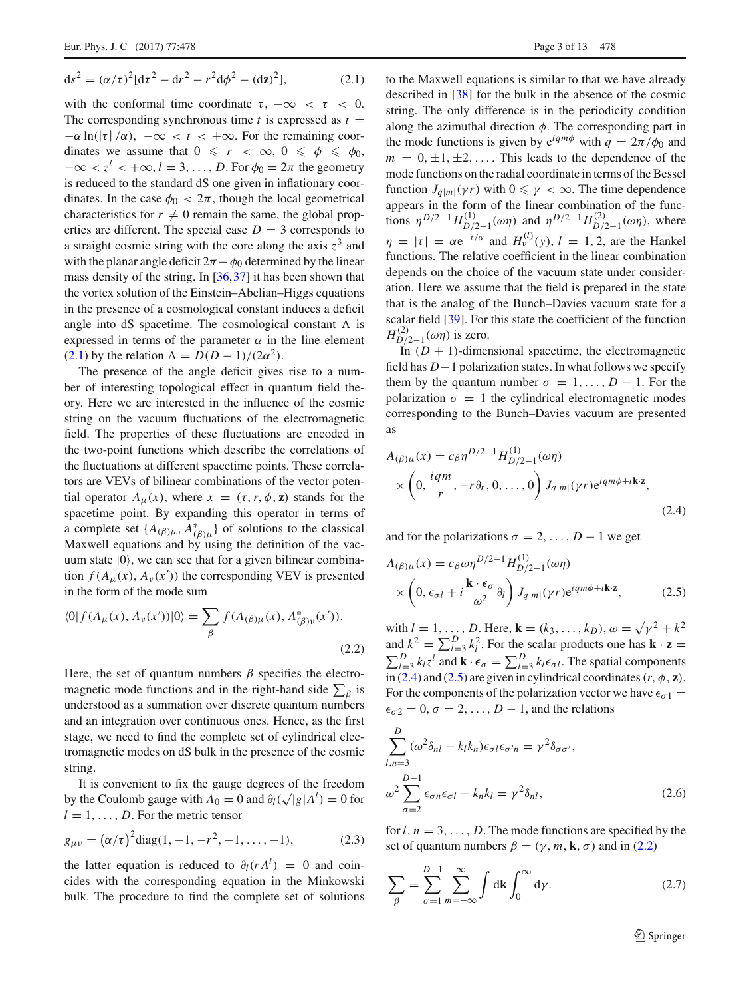<span id="page-2-0"></span>
$$
ds^{2} = (\alpha/\tau)^{2} [d\tau^{2} - dr^{2} - r^{2} d\phi^{2} - (d\mathbf{z})^{2}],
$$
 (2.1)

with the conformal time coordinate  $\tau$ ,  $-\infty < \tau < 0$ . The corresponding synchronous time  $t$  is expressed as  $t =$  $-\alpha \ln(|\tau|/\alpha)$ ,  $-\infty < t < +\infty$ . For the remaining coordinates we assume that  $0 \leq r < \infty$ ,  $0 \leq \phi \leq \phi_0$ ,  $-\infty < z^l < +\infty, l = 3, \ldots, D$ . For  $\phi_0 = 2\pi$  the geometry is reduced to the standard dS one given in inflationary coordinates. In the case  $\phi_0 < 2\pi$ , though the local geometrical characteristics for  $r \neq 0$  remain the same, the global properties are different. The special case  $D = 3$  corresponds to a straight cosmic string with the core along the axis  $z<sup>3</sup>$  and with the planar angle deficit  $2\pi - \phi_0$  determined by the linear mass density of the string. In  $[36,37]$  $[36,37]$  $[36,37]$  it has been shown that the vortex solution of the Einstein–Abelian–Higgs equations in the presence of a cosmological constant induces a deficit angle into dS spacetime. The cosmological constant  $\Lambda$  is expressed in terms of the parameter  $\alpha$  in the line element [\(2.1\)](#page-2-0) by the relation  $\Lambda = D(D-1)/(2\alpha^2)$ .

The presence of the angle deficit gives rise to a number of interesting topological effect in quantum field theory. Here we are interested in the influence of the cosmic string on the vacuum fluctuations of the electromagnetic field. The properties of these fluctuations are encoded in the two-point functions which describe the correlations of the fluctuations at different spacetime points. These correlators are VEVs of bilinear combinations of the vector potential operator  $A_{\mu}(x)$ , where  $x = (\tau, r, \phi, z)$  stands for the spacetime point. By expanding this operator in terms of a complete set  $\{A_{(\beta)\mu}, A^*_{(\beta)\mu}\}$  of solutions to the classical Maxwell equations and by using the definition of the vacuum state  $|0\rangle$ , we can see that for a given bilinear combination  $f(A_\mu(x), A_\nu(x'))$  the corresponding VEV is presented in the form of the mode sum

<span id="page-2-3"></span>
$$
\langle 0|f(A_{\mu}(x), A_{\nu}(x'))|0\rangle = \sum_{\beta} f(A_{(\beta)\mu}(x), A_{(\beta)\nu}^{*}(x')).
$$
\n(2.2)

Here, the set of quantum numbers  $\beta$  specifies the electromagnetic mode functions and in the right-hand side  $\sum_{\beta}$  is understood as a summation over discrete quantum numbers and an integration over continuous ones. Hence, as the first stage, we need to find the complete set of cylindrical electromagnetic modes on dS bulk in the presence of the cosmic string.

It is convenient to fix the gauge degrees of the freedom by the Coulomb gauge with  $A_0 = 0$  and  $\partial_l(\sqrt{|g|}A^l) = 0$  for  $l = 1, \ldots, D$ . For the metric tensor

$$
g_{\mu\nu} = (\alpha/\tau)^2 \text{diag}(1, -1, -r^2, -1, \dots, -1), \tag{2.3}
$$

the latter equation is reduced to  $\partial_l(rA^l) = 0$  and coincides with the corresponding equation in the Minkowski bulk. The procedure to find the complete set of solutions to the Maxwell equations is similar to that we have already described in [\[38\]](#page-12-15) for the bulk in the absence of the cosmic string. The only difference is in the periodicity condition along the azimuthal direction  $\phi$ . The corresponding part in the mode functions is given by  $e^{iqm\phi}$  with  $q = 2\pi/\phi_0$  and  $m = 0, \pm 1, \pm 2, \ldots$  This leads to the dependence of the mode functions on the radial coordinate in terms of the Bessel function  $J_{q|m|}(\gamma r)$  with  $0 \leq \gamma < \infty$ . The time dependence appears in the form of the linear combination of the functions  $\eta^{D/2-1} H_{D/2-1}^{(1)}(\omega \eta)$  and  $\eta^{D/2-1} H_{D/2-1}^{(2)}(\omega \eta)$ , where  $\eta = |\tau| = \alpha e^{-t/\alpha}$  and  $H_{\nu}^{(l)}(y)$ ,  $l = 1, 2$ , are the Hankel functions. The relative coefficient in the linear combination depends on the choice of the vacuum state under consideration. Here we assume that the field is prepared in the state that is the analog of the Bunch–Davies vacuum state for a scalar field [\[39](#page-12-16)]. For this state the coefficient of the function  $H_{D/2-1}^{(2)}(\omega \eta)$  is zero.

In  $(D + 1)$ -dimensional spacetime, the electromagnetic field has *D*−1 polarization states. In what follows we specify them by the quantum number  $\sigma = 1, \ldots, D - 1$ . For the polarization  $\sigma = 1$  the cylindrical electromagnetic modes corresponding to the Bunch–Davies vacuum are presented as

<span id="page-2-1"></span>
$$
A_{(\beta)\mu}(x) = c_{\beta}\eta^{D/2-1}H_{D/2-1}^{(1)}(\omega\eta)
$$
  
 
$$
\times \left(0, \frac{iqm}{r}, -r\partial_r, 0, \dots, 0\right)J_{q|m|}(\gamma r)e^{iqm\phi + i\mathbf{k}\cdot\mathbf{z}},
$$
 (2.4)

and for the polarizations  $\sigma = 2, \ldots, D - 1$  we get

<span id="page-2-2"></span>
$$
A_{(\beta)\mu}(x) = c_{\beta}\omega\eta^{D/2-1}H_{D/2-1}^{(1)}(\omega\eta)
$$
  
 
$$
\times \left(0, \epsilon_{\sigma l} + i\frac{\mathbf{k} \cdot \mathbf{\epsilon}_{\sigma}}{\omega^2}\partial_l\right)J_{q|m|}(\gamma r)e^{iqm\phi + i\mathbf{k}\cdot\mathbf{z}},
$$
 (2.5)

with  $l = 1, ..., D$ . Here,  $\mathbf{k} = (k_3, ..., k_D)$ ,  $\omega = \sqrt{\gamma^2 + k^2}$ and  $k^2 = \sum_{l=3}^{D} k_l^2$ . For the scalar products one has  $\mathbf{k} \cdot \mathbf{z} =$  $\sum_{l=3}^{D} k_l z^l$  and  $\mathbf{k} \cdot \boldsymbol{\epsilon}_{\sigma} = \sum_{l=3}^{D} k_l \epsilon_{\sigma l}$ . The spatial components in [\(2.4\)](#page-2-1) and [\(2.5\)](#page-2-2) are given in cylindrical coordinates  $(r, \phi, z)$ . For the components of the polarization vector we have  $\epsilon_{\sigma 1} =$  $\epsilon_{\sigma 2} = 0, \sigma = 2, \ldots, D - 1$ , and the relations

<span id="page-2-5"></span>
$$
\sum_{l,n=3}^{D} (\omega^2 \delta_{nl} - k_l k_n) \epsilon_{\sigma l} \epsilon_{\sigma' n} = \gamma^2 \delta_{\sigma \sigma'},
$$
  

$$
\omega^2 \sum_{\sigma=2}^{D-1} \epsilon_{\sigma n} \epsilon_{\sigma l} - k_n k_l = \gamma^2 \delta_{nl},
$$
 (2.6)

for  $l, n = 3, \ldots, D$ . The mode functions are specified by the set of quantum numbers  $\beta = (\gamma, m, \mathbf{k}, \sigma)$  and in [\(2.2\)](#page-2-3)

<span id="page-2-4"></span>
$$
\sum_{\beta} = \sum_{\sigma=1}^{D-1} \sum_{m=-\infty}^{\infty} \int \mathrm{d}\mathbf{k} \int_0^{\infty} \mathrm{d}\gamma. \tag{2.7}
$$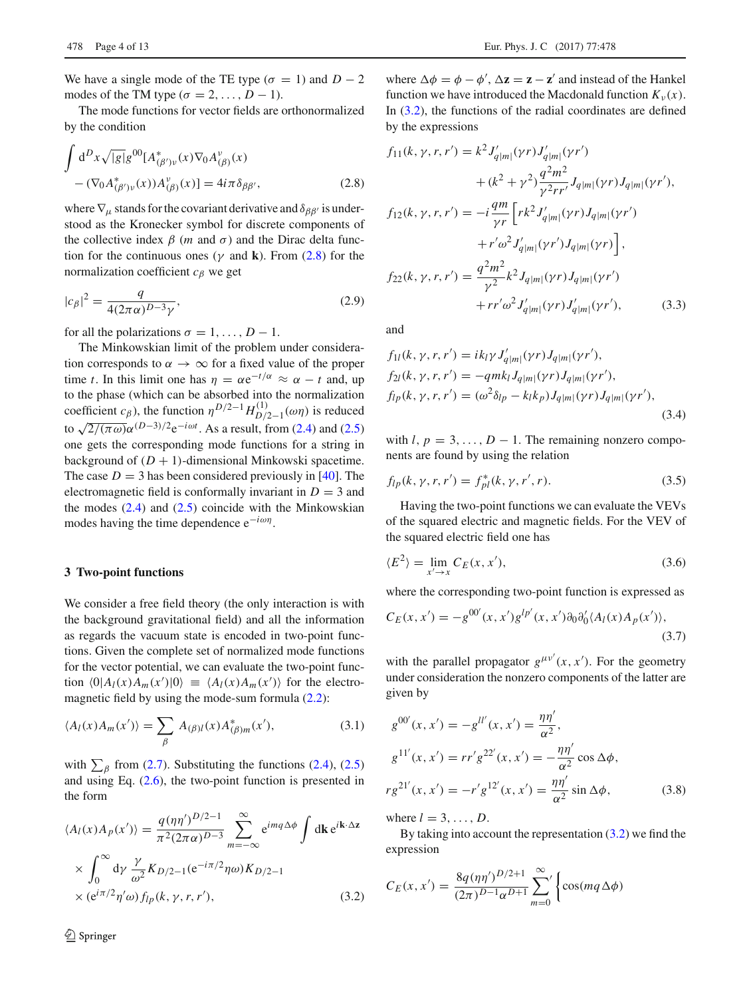We have a single mode of the TE type ( $\sigma = 1$ ) and  $D - 2$ modes of the TM type ( $\sigma = 2, \ldots, D - 1$ ).

The mode functions for vector fields are orthonormalized by the condition

<span id="page-3-1"></span>
$$
\int d^{D}x \sqrt{|g|} g^{00} [A_{(\beta')\nu}^{*}(x) \nabla_{0} A_{(\beta)}^{\nu}(x) - (\nabla_{0} A_{(\beta')\nu}^{*}(x)) A_{(\beta)}^{\nu}(x)] = 4i\pi \delta_{\beta\beta'},
$$
\n(2.8)

where  $\nabla_{\mu}$  stands for the covariant derivative and  $\delta_{\beta\beta'}$  is understood as the Kronecker symbol for discrete components of the collective index  $\beta$  (*m* and  $\sigma$ ) and the Dirac delta function for the continuous ones ( $\gamma$  and **k**). From [\(2.8\)](#page-3-1) for the normalization coefficient  $c<sub>β</sub>$  we get

$$
|c_{\beta}|^2 = \frac{q}{4(2\pi\alpha)^{D-3}\gamma},
$$
\n(2.9)

for all the polarizations  $\sigma = 1, \ldots, D - 1$ .

The Minkowskian limit of the problem under consideration corresponds to  $\alpha \rightarrow \infty$  for a fixed value of the proper time *t*. In this limit one has  $\eta = \alpha e^{-t/\alpha} \approx \alpha - t$  and, up to the phase (which can be absorbed into the normalization coefficient  $c_{\beta}$ ), the function  $\eta^{D/2-1} H_{D/2-1}^{(1)}(\omega \eta)$  is reduced to  $\sqrt{\frac{2}{(\pi \omega)}} \alpha^{(D-3)/2} e^{-i \omega t}$ . As a result, from [\(2.4\)](#page-2-1) and [\(2.5\)](#page-2-2) one gets the corresponding mode functions for a string in background of  $(D + 1)$ -dimensional Minkowski spacetime. The case  $D = 3$  has been considered previously in [\[40\]](#page-12-17). The electromagnetic field is conformally invariant in  $D = 3$  and the modes  $(2.4)$  and  $(2.5)$  coincide with the Minkowskian modes having the time dependence e−*i*ωη.

#### <span id="page-3-0"></span>**3 Two-point functions**

We consider a free field theory (the only interaction is with the background gravitational field) and all the information as regards the vacuum state is encoded in two-point functions. Given the complete set of normalized mode functions for the vector potential, we can evaluate the two-point function  $\langle 0|A_l(x)A_m(x')|0\rangle \equiv \langle A_l(x)A_m(x')\rangle$  for the electromagnetic field by using the mode-sum formula  $(2.2)$ :

$$
\langle A_l(x)A_m(x')\rangle = \sum_{\beta} A_{(\beta)l}(x)A_{(\beta)m}^*(x'),\tag{3.1}
$$

with  $\sum_{\beta}$  from [\(2.7\)](#page-2-4). Substituting the functions [\(2.4\)](#page-2-1), [\(2.5\)](#page-2-2) and using Eq. [\(2.6\)](#page-2-5), the two-point function is presented in the form

<span id="page-3-2"></span>
$$
\langle A_l(x) A_p(x') \rangle = \frac{q(\eta \eta')^{D/2 - 1}}{\pi^2 (2\pi \alpha)^{D - 3}} \sum_{m = -\infty}^{\infty} e^{imq \Delta \phi} \int d\mathbf{k} e^{i\mathbf{k} \cdot \Delta \mathbf{z}}
$$

$$
\times \int_0^{\infty} d\gamma \frac{\gamma}{\omega^2} K_{D/2 - 1} (e^{-i\pi/2} \eta \omega) K_{D/2 - 1}
$$

$$
\times (e^{i\pi/2} \eta' \omega) f_{lp}(k, \gamma, r, r'), \qquad (3.2)
$$

where  $\Delta \phi = \phi - \phi'$ ,  $\Delta z = z - z'$  and instead of the Hankel function we have introduced the Macdonald function  $K_v(x)$ . In [\(3.2\)](#page-3-2), the functions of the radial coordinates are defined by the expressions

$$
f_{11}(k, \gamma, r, r') = k^2 J'_{q|m|}(\gamma r) J'_{q|m|}(\gamma r')
$$
  
+ 
$$
(k^2 + \gamma^2) \frac{q^2 m^2}{\gamma^2 r r'} J_{q|m|}(\gamma r) J_{q|m|}(\gamma r'),
$$
  

$$
f_{12}(k, \gamma, r, r') = -i \frac{qm}{\gamma r} \left[ r k^2 J'_{q|m|}(\gamma r) J_{q|m|}(\gamma r') \right. \\ + r' \omega^2 J'_{q|m|}(\gamma r') J_{q|m|}(\gamma r) \Big],
$$
  

$$
f_{22}(k, \gamma, r, r') = \frac{q^2 m^2}{\gamma^2} k^2 J_{q|m|}(\gamma r) J_{q|m|}(\gamma r')
$$
  
+ 
$$
r r' \omega^2 J'_{q|m|}(\gamma r) J'_{q|m|}(\gamma r'), \qquad (3.3)
$$

and

$$
f_{1l}(k, \gamma, r, r') = ik_l \gamma J'_{q|m|}(\gamma r) J_{q|m|}(\gamma r'),
$$
  
\n
$$
f_{2l}(k, \gamma, r, r') = -qm_{kl}J_{q|m|}(\gamma r) J_{q|m|}(\gamma r'),
$$
  
\n
$$
f_{lp}(k, \gamma, r, r') = (\omega^2 \delta_{lp} - k_l k_p) J_{q|m|}(\gamma r) J_{q|m|}(\gamma r'),
$$
\n(3.4)

with  $l, p = 3, \ldots, D - 1$ . The remaining nonzero components are found by using the relation

$$
f_{lp}(k, \gamma, r, r') = f_{pl}^{*}(k, \gamma, r', r).
$$
 (3.5)

Having the two-point functions we can evaluate the VEVs of the squared electric and magnetic fields. For the VEV of the squared electric field one has

$$
\langle E^2 \rangle = \lim_{x' \to x} C_E(x, x'), \tag{3.6}
$$

where the corresponding two-point function is expressed as

$$
C_E(x, x') = -g^{00'}(x, x')g^{lp'}(x, x')\partial_0\partial_0'(A_l(x)A_p(x')),
$$
\n(3.7)

with the parallel propagator  $g^{\mu\nu}(x, x')$ . For the geometry under consideration the nonzero components of the latter are given by

$$
g^{00'}(x, x') = -g^{ll'}(x, x') = \frac{\eta \eta'}{\alpha^2},
$$
  
\n
$$
g^{11'}(x, x') = rr'g^{22'}(x, x') = -\frac{\eta \eta'}{\alpha^2} \cos \Delta \phi,
$$
  
\n
$$
r g^{21'}(x, x') = -r'g^{12'}(x, x') = \frac{\eta \eta'}{\alpha^2} \sin \Delta \phi,
$$
\n(3.8)

where  $l = 3, \ldots, D$ .

By taking into account the representation  $(3.2)$  we find the expression

<span id="page-3-3"></span>
$$
C_E(x, x') = \frac{8q(\eta\eta')^{D/2+1}}{(2\pi)^{D-1}\alpha^{D+1}} \sum_{m=0}^{\infty} \left\{ \cos(mq\Delta\phi) \right\}
$$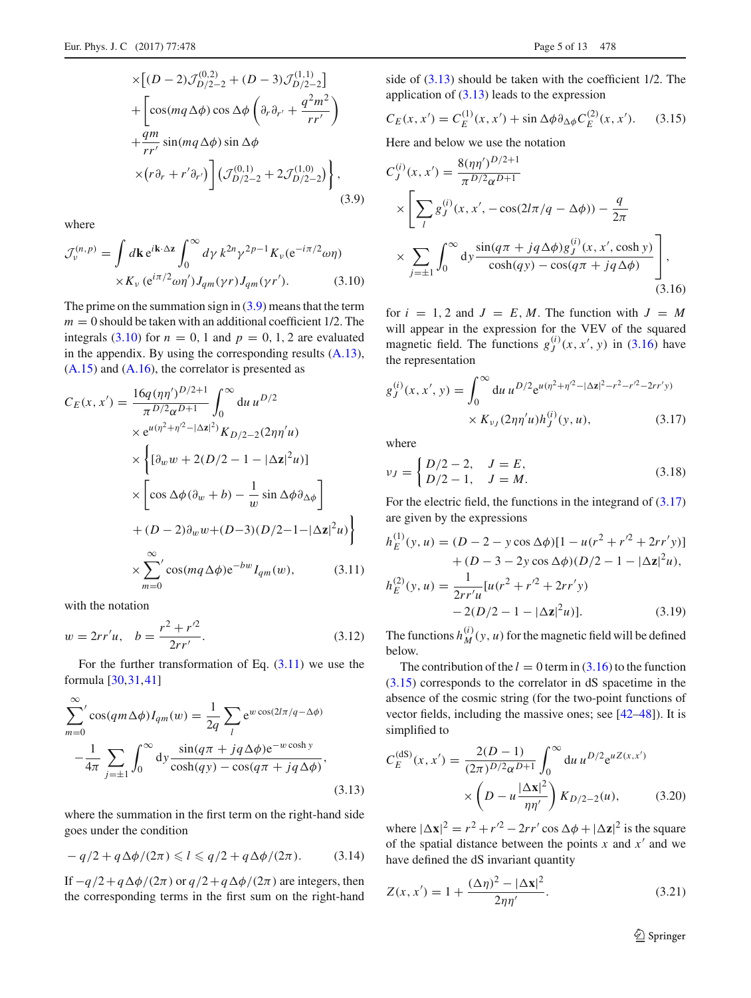$$
\times [(D-2) \mathcal{J}_{D/2-2}^{(0,2)} + (D-3) \mathcal{J}_{D/2-2}^{(1,1)}] + \left[\cos(mq \Delta \phi) \cos \Delta \phi \left(\partial_r \partial_{r'} + \frac{q^2 m^2}{r r'}\right) + \frac{qm}{rr'} \sin(mq \Delta \phi) \sin \Delta \phi \times (r \partial_r + r' \partial_{r'}) \right] (\mathcal{J}_{D/2-2}^{(0,1)} + 2 \mathcal{J}_{D/2-2}^{(1,0)}) \right\},
$$
\n(3.9)

where

<span id="page-4-0"></span>
$$
\mathcal{J}_{\nu}^{(n,p)} = \int d\mathbf{k} e^{i\mathbf{k}\cdot\Delta\mathbf{z}} \int_0^{\infty} d\gamma \, k^{2n} \gamma^{2p-1} K_{\nu} (e^{-i\pi/2} \omega \eta) \times K_{\nu} (e^{i\pi/2} \omega \eta') J_{qm}(\gamma r) J_{qm}(\gamma r').
$$
\n(3.10)

The prime on the summation sign in  $(3.9)$  means that the term  $m = 0$  should be taken with an additional coefficient 1/2. The integrals  $(3.10)$  for  $n = 0, 1$  and  $p = 0, 1, 2$  are evaluated in the appendix. By using the corresponding results  $(A.13)$ ,  $(A.15)$  and  $(A.16)$ , the correlator is presented as

<span id="page-4-1"></span>
$$
C_E(x, x') = \frac{16q(\eta \eta')^{D/2+1}}{\pi^{D/2} \alpha^{D+1}} \int_0^\infty du \, u^{D/2}
$$
  
\n
$$
\times e^{u(\eta^2 + \eta'^2 - |\Delta z|^2)} K_{D/2-2}(2\eta \eta' u)
$$
  
\n
$$
\times \left\{ [\partial_w w + 2(D/2 - 1 - |\Delta z|^2 u)] \times \left[ \cos \Delta \phi (\partial_w + b) - \frac{1}{w} \sin \Delta \phi \partial_{\Delta \phi} \right] + (D - 2) \partial_w w + (D - 3)(D/2 - 1 - |\Delta z|^2 u) \right\}
$$
  
\n
$$
\times \sum_{m=0}^\infty cos(mq \Delta \phi) e^{-bw} I_{qm}(w), \qquad (3.11)
$$

with the notation

<span id="page-4-7"></span>
$$
w = 2rr'u, \quad b = \frac{r^2 + r'^2}{2rr'}.
$$
\n(3.12)

For the further transformation of Eq.  $(3.11)$  we use the formula [\[30](#page-12-8),[31,](#page-12-9)[41\]](#page-12-18)

<span id="page-4-2"></span>
$$
\sum_{m=0}^{\infty} \cos(qm\Delta\phi) I_{qm}(w) = \frac{1}{2q} \sum_{l} e^{w \cos(2l\pi/q - \Delta\phi)} \n- \frac{1}{4\pi} \sum_{j=\pm 1} \int_0^{\infty} dy \frac{\sin(q\pi + iq\Delta\phi)e^{-w \cosh y}}{\cosh(qy) - \cos(q\pi + iq\Delta\phi)},
$$
\n(3.13)

where the summation in the first term on the right-hand side goes under the condition

$$
-q/2 + q\Delta\phi/(2\pi) \leq l \leq q/2 + q\Delta\phi/(2\pi). \tag{3.14}
$$

If  $-q/2 + q\Delta\phi/(2\pi)$  or  $q/2 + q\Delta\phi/(2\pi)$  are integers, then the corresponding terms in the first sum on the right-hand side of [\(3.13\)](#page-4-2) should be taken with the coefficient 1/2. The application of  $(3.13)$  leads to the expression

<span id="page-4-5"></span>
$$
C_E(x, x') = C_E^{(1)}(x, x') + \sin \Delta \phi \partial_{\Delta \phi} C_E^{(2)}(x, x').
$$
 (3.15)

Here and below we use the notation

<span id="page-4-3"></span>
$$
C_{J}^{(i)}(x, x') = \frac{8(\eta \eta')^{D/2+1}}{\pi^{D/2} \alpha^{D+1}}
$$
  
 
$$
\times \left[ \sum_{l} g_{J}^{(i)}(x, x', -\cos(2l\pi/q - \Delta\phi)) - \frac{q}{2\pi} \right]
$$
  
 
$$
\times \sum_{j=\pm 1} \int_{0}^{\infty} dy \frac{\sin(q\pi + iq\Delta\phi)g_{J}^{(i)}(x, x', \cosh y)}{\cosh(qy) - \cos(q\pi + iq\Delta\phi)} \right],
$$
  
(3.16)

for  $i = 1, 2$  and  $J = E, M$ . The function with  $J = M$ will appear in the expression for the VEV of the squared magnetic field. The functions  $g_J^{(i)}(x, x', y)$  in [\(3.16\)](#page-4-3) have the representation

<span id="page-4-4"></span>
$$
g_J^{(i)}(x, x', y) = \int_0^\infty du \, u^{D/2} e^{u(\eta^2 + \eta'^2 - |\Delta \mathbf{z}|^2 - r^2 - r'^2 - 2rr'y)} \times K_{\nu_J}(2\eta \eta' u) h_J^{(i)}(y, u), \tag{3.17}
$$

where

$$
\nu_J = \begin{cases} D/2 - 2, & J = E, \\ D/2 - 1, & J = M. \end{cases}
$$
 (3.18)

For the electric field, the functions in the integrand of  $(3.17)$ are given by the expressions

$$
h_E^{(1)}(y, u) = (D - 2 - y \cos \Delta \phi)[1 - u(r^2 + r^2 + 2rr'y)]
$$
  
+ (D - 3 - 2y \cos \Delta \phi)(D/2 - 1 - |\Delta z|^2 u),  

$$
h_E^{(2)}(y, u) = \frac{1}{2rr'u}[u(r^2 + r^2 + 2rr'y)]
$$
  
- 2(D/2 - 1 - |\Delta z|^2 u)]. (3.19)

The functions  $h_M^{(i)}(y, u)$  for the magnetic field will be defined below.

The contribution of the  $l = 0$  term in [\(3.16\)](#page-4-3) to the function [\(3.15\)](#page-4-5) corresponds to the correlator in dS spacetime in the absence of the cosmic string (for the two-point functions of vector fields, including the massive ones; see [\[42](#page-12-19)[–48](#page-12-20)]). It is simplified to

<span id="page-4-6"></span>
$$
C_E^{(dS)}(x, x') = \frac{2(D-1)}{(2\pi)^{D/2} \alpha^{D+1}} \int_0^\infty du \, u^{D/2} e^{uZ(x, x')}
$$

$$
\times \left(D - u \frac{|\Delta \mathbf{x}|^2}{\eta \eta'}\right) K_{D/2 - 2}(u), \tag{3.20}
$$

where  $|\Delta \mathbf{x}|^2 = r^2 + r'^2 - 2rr' \cos \Delta \phi + |\Delta \mathbf{z}|^2$  is the square of the spatial distance between the points  $x$  and  $x'$  and we have defined the dS invariant quantity

$$
Z(x, x') = 1 + \frac{(\Delta \eta)^2 - |\Delta \mathbf{x}|^2}{2\eta \eta'}.
$$
 (3.21)

<sup>2</sup> Springer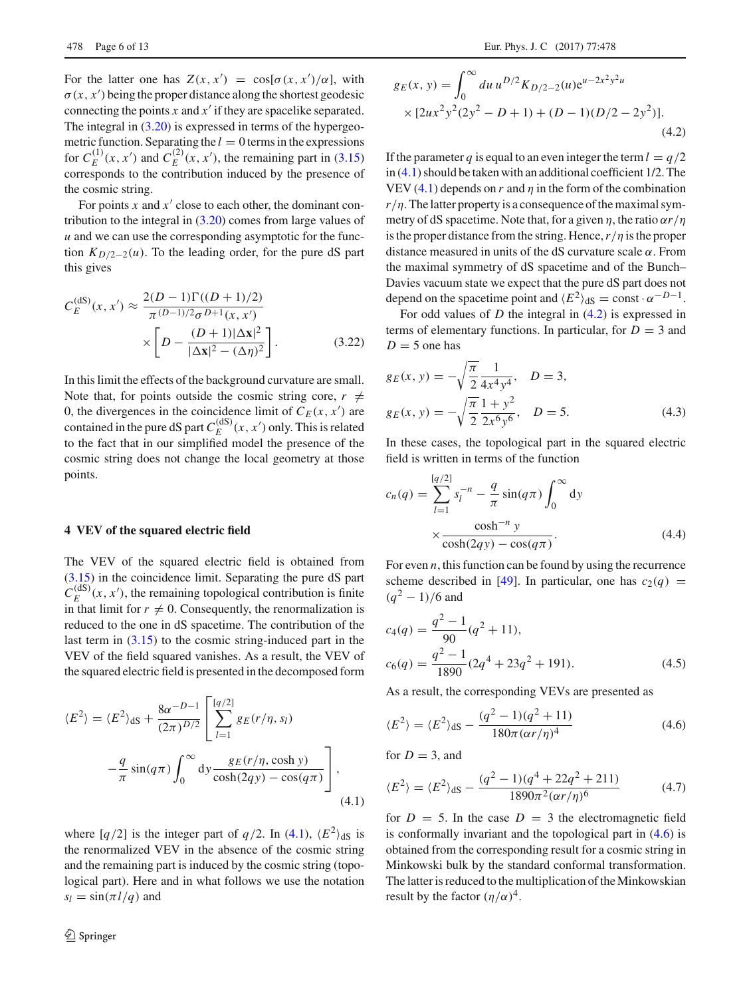For the latter one has  $Z(x, x') = \cos[\sigma(x, x')/\alpha]$ , with  $\sigma(x, x')$  being the proper distance along the shortest geodesic connecting the points  $x$  and  $x'$  if they are spacelike separated. The integral in  $(3.20)$  is expressed in terms of the hypergeometric function. Separating the  $l = 0$  terms in the expressions for  $C_E^{(1)}(x, x')$  and  $C_E^{(2)}(x, x')$ , the remaining part in [\(3.15\)](#page-4-5) corresponds to the contribution induced by the presence of the cosmic string.

For points  $x$  and  $x'$  close to each other, the dominant contribution to the integral in [\(3.20\)](#page-4-6) comes from large values of *u* and we can use the corresponding asymptotic for the function  $K_{D/2-2}(u)$ . To the leading order, for the pure dS part this gives

<span id="page-5-6"></span>
$$
C_E^{(dS)}(x, x') \approx \frac{2(D-1)\Gamma((D+1)/2)}{\pi^{(D-1)/2}\sigma^{D+1}(x, x')} \times \left[D - \frac{(D+1)|\Delta \mathbf{x}|^2}{|\Delta \mathbf{x}|^2 - (\Delta \eta)^2}\right].
$$
 (3.22)

In this limit the effects of the background curvature are small. Note that, for points outside the cosmic string core,  $r \neq$ 0, the divergences in the coincidence limit of  $C_E(x, x')$  are contained in the pure dS part  $C_E^{(dS)}(x, x')$  only. This is related to the fact that in our simplified model the presence of the cosmic string does not change the local geometry at those points.

#### <span id="page-5-0"></span>**4 VEV of the squared electric field**

The VEV of the squared electric field is obtained from [\(3.15\)](#page-4-5) in the coincidence limit. Separating the pure dS part  $C_E^{(dS)}(x, x')$ , the remaining topological contribution is finite in that limit for  $r \neq 0$ . Consequently, the renormalization is reduced to the one in dS spacetime. The contribution of the last term in  $(3.15)$  to the cosmic string-induced part in the VEV of the field squared vanishes. As a result, the VEV of the squared electric field is presented in the decomposed form

<span id="page-5-1"></span>
$$
\langle E^2 \rangle = \langle E^2 \rangle_{\text{dS}} + \frac{8\alpha^{-D-1}}{(2\pi)^{D/2}} \left[ \sum_{l=1}^{[q/2]} g_E(r/\eta, s_l) - \frac{q}{\pi} \sin(q\pi) \int_0^\infty \mathrm{d}y \frac{g_E(r/\eta, \cosh y)}{\cosh(2qy) - \cos(q\pi)} \right],
$$
\n(4.1)

where  $[q/2]$  is the integer part of  $q/2$ . In [\(4.1\)](#page-5-1),  $\langle E^2 \rangle_{\text{dS}}$  is the renormalized VEV in the absence of the cosmic string and the remaining part is induced by the cosmic string (topological part). Here and in what follows we use the notation  $s_l = \sin(\pi l/q)$  and

<span id="page-5-2"></span>
$$
g_E(x, y) = \int_0^\infty du \, u^{D/2} K_{D/2-2}(u) e^{u-2x^2 y^2 u}
$$
  
×[2ux<sup>2</sup>y<sup>2</sup>(2y<sup>2</sup> - D + 1) + (D - 1)(D/2 - 2y<sup>2</sup>)]. (4.2)

If the parameter *q* is equal to an even integer the term  $l = q/2$ in [\(4.1\)](#page-5-1) should be taken with an additional coefficient 1/2. The VEV  $(4.1)$  depends on r and  $\eta$  in the form of the combination  $r/\eta$ . The latter property is a consequence of the maximal symmetry of dS spacetime. Note that, for a given  $\eta$ , the ratio  $\alpha r/\eta$ is the proper distance from the string. Hence,*r*/η is the proper distance measured in units of the dS curvature scale  $\alpha$ . From the maximal symmetry of dS spacetime and of the Bunch– Davies vacuum state we expect that the pure dS part does not depend on the spacetime point and  $\langle E^2 \rangle_{\text{dS}} = \text{const} \cdot \alpha^{-D-1}$ .

For odd values of *D* the integral in [\(4.2\)](#page-5-2) is expressed in terms of elementary functions. In particular, for  $D = 3$  and  $D = 5$  one has

<span id="page-5-7"></span>
$$
g_E(x, y) = -\sqrt{\frac{\pi}{2}} \frac{1}{4x^4y^4}, \quad D = 3,
$$
  

$$
g_E(x, y) = -\sqrt{\frac{\pi}{2}} \frac{1+y^2}{2x^6y^6}, \quad D = 5.
$$
 (4.3)

In these cases, the topological part in the squared electric field is written in terms of the function

$$
c_n(q) = \sum_{l=1}^{\lfloor q/2 \rfloor} s_l^{-n} - \frac{q}{\pi} \sin(q\pi) \int_0^\infty dy
$$

$$
\times \frac{\cosh^{-n} y}{\cosh(2qy) - \cos(q\pi)}.
$$
(4.4)

For even  $n$ , this function can be found by using the recurrence scheme described in [\[49](#page-12-21)]. In particular, one has  $c_2(q)$  =  $(a^2 - 1)/6$  and

<span id="page-5-4"></span>
$$
c_4(q) = \frac{q^2 - 1}{90}(q^2 + 11),
$$
  
\n
$$
c_6(q) = \frac{q^2 - 1}{1890}(2q^4 + 23q^2 + 191).
$$
\n(4.5)

As a result, the corresponding VEVs are presented as

<span id="page-5-3"></span>
$$
\langle E^2 \rangle = \langle E^2 \rangle_{\text{dS}} - \frac{(q^2 - 1)(q^2 + 11)}{180\pi(\alpha r/\eta)^4} \tag{4.6}
$$

for  $D = 3$ , and

<span id="page-5-5"></span>
$$
\langle E^2 \rangle = \langle E^2 \rangle_{\text{dS}} - \frac{(q^2 - 1)(q^4 + 22q^2 + 211)}{1890\pi^2 (\alpha r/\eta)^6} \tag{4.7}
$$

for  $D = 5$ . In the case  $D = 3$  the electromagnetic field is conformally invariant and the topological part in [\(4.6\)](#page-5-3) is obtained from the corresponding result for a cosmic string in Minkowski bulk by the standard conformal transformation. The latter is reduced to the multiplication of the Minkowskian result by the factor  $(\eta/\alpha)^4$ .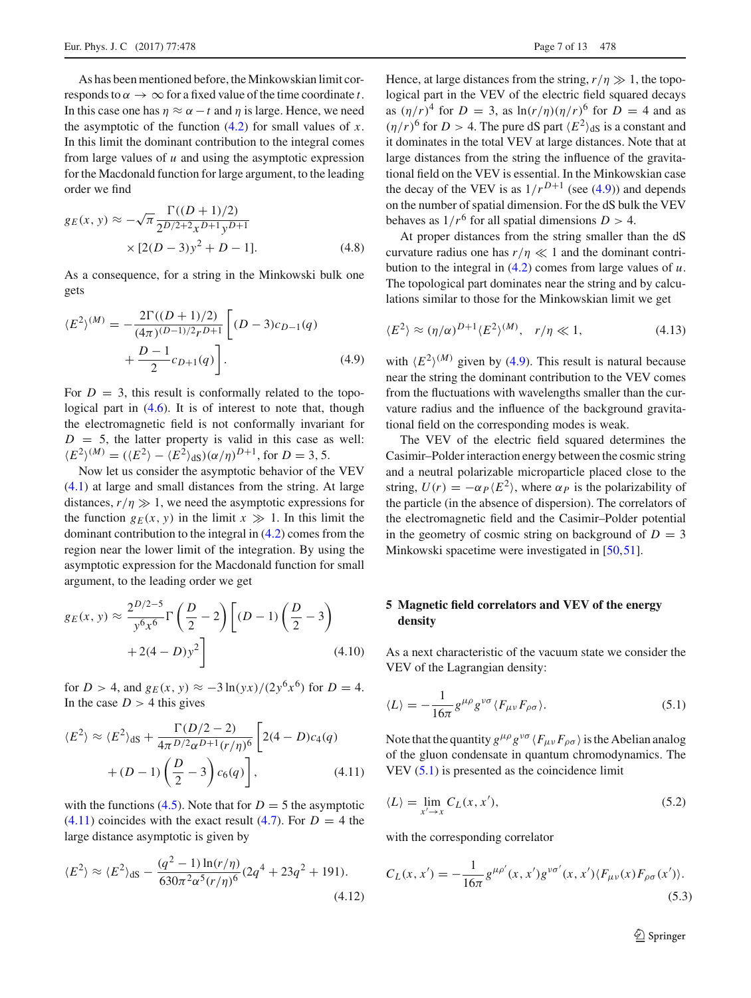As has been mentioned before, the Minkowskian limit corresponds to  $\alpha \to \infty$  for a fixed value of the time coordinate *t*. In this case one has  $\eta \approx \alpha - t$  and  $\eta$  is large. Hence, we need the asymptotic of the function  $(4.2)$  for small values of *x*. In this limit the dominant contribution to the integral comes from large values of *u* and using the asymptotic expression for the Macdonald function for large argument, to the leading order we find

$$
g_E(x, y) \approx -\sqrt{\pi} \frac{\Gamma((D+1)/2)}{2^{D/2+2} x^{D+1} y^{D+1}} \times [2(D-3)y^2 + D - 1].
$$
 (4.8)

As a consequence, for a string in the Minkowski bulk one gets

<span id="page-6-2"></span>
$$
\langle E^2 \rangle^{(M)} = -\frac{2\Gamma((D+1)/2)}{(4\pi)^{(D-1)/2}r^{D+1}} \left[ (D-3)c_{D-1}(q) + \frac{D-1}{2}c_{D+1}(q) \right].
$$
\n(4.9)

For  $D = 3$ , this result is conformally related to the topological part in  $(4.6)$ . It is of interest to note that, though the electromagnetic field is not conformally invariant for  $D = 5$ , the latter property is valid in this case as well:  $(E^{2})^{(M)} = (\langle E^{2} \rangle - \langle E^{2} \rangle_{dS})(\alpha/\eta)^{D+1}$ , for  $D = 3, 5$ .

Now let us consider the asymptotic behavior of the VEV [\(4.1\)](#page-5-1) at large and small distances from the string. At large distances,  $r/\eta \gg 1$ , we need the asymptotic expressions for the function  $g_F(x, y)$  in the limit  $x \gg 1$ . In this limit the dominant contribution to the integral in [\(4.2\)](#page-5-2) comes from the region near the lower limit of the integration. By using the asymptotic expression for the Macdonald function for small argument, to the leading order we get

$$
g_E(x, y) \approx \frac{2^{D/2-5}}{y^6 x^6} \Gamma\left(\frac{D}{2} - 2\right) \left[ (D - 1) \left(\frac{D}{2} - 3\right) + 2(4 - D)y^2 \right]
$$
(4.10)

for *D* > 4, and  $g_E(x, y) \approx -3 \ln(yx)/(2y^6x^6)$  for *D* = 4. In the case  $D > 4$  this gives

<span id="page-6-1"></span>
$$
\langle E^2 \rangle \approx \langle E^2 \rangle_{\text{dS}} + \frac{\Gamma(D/2 - 2)}{4\pi^{D/2} \alpha^{D+1} (r/\eta)^6} \left[ 2(4 - D)c_4(q) + (D - 1) \left( \frac{D}{2} - 3 \right) c_6(q) \right], \tag{4.11}
$$

with the functions [\(4.5\)](#page-5-4). Note that for  $D = 5$  the asymptotic  $(4.11)$  coincides with the exact result  $(4.7)$ . For  $D = 4$  the large distance asymptotic is given by

$$
\langle E^2 \rangle \approx \langle E^2 \rangle_{\text{dS}} - \frac{(q^2 - 1) \ln(r/\eta)}{630 \pi^2 \alpha^5 (r/\eta)^6} (2q^4 + 23q^2 + 191). \tag{4.12}
$$

Hence, at large distances from the string,  $r/n \gg 1$ , the topological part in the VEV of the electric field squared decays as  $(\eta/r)^4$  for  $D = 3$ , as  $\ln(r/\eta)(\eta/r)^6$  for  $D = 4$  and as  $(\eta/r)^6$  for  $D > 4$ . The pure dS part  $\langle E^2 \rangle_{\text{dS}}$  is a constant and it dominates in the total VEV at large distances. Note that at large distances from the string the influence of the gravitational field on the VEV is essential. In the Minkowskian case the decay of the VEV is as  $1/r^{D+1}$  (see [\(4.9\)](#page-6-2)) and depends on the number of spatial dimension. For the dS bulk the VEV behaves as  $1/r^6$  for all spatial dimensions  $D > 4$ .

At proper distances from the string smaller than the dS curvature radius one has  $r/\eta \ll 1$  and the dominant contribution to the integral in [\(4.2\)](#page-5-2) comes from large values of *u*. The topological part dominates near the string and by calculations similar to those for the Minkowskian limit we get

$$
\langle E^2 \rangle \approx (\eta/\alpha)^{D+1} \langle E^2 \rangle^{(M)}, \quad r/\eta \ll 1,
$$
\n(4.13)

with  $\langle E^2 \rangle^{(M)}$  given by [\(4.9\)](#page-6-2). This result is natural because near the string the dominant contribution to the VEV comes from the fluctuations with wavelengths smaller than the curvature radius and the influence of the background gravitational field on the corresponding modes is weak.

The VEV of the electric field squared determines the Casimir–Polder interaction energy between the cosmic string and a neutral polarizable microparticle placed close to the string,  $U(r) = -\alpha_P \langle E^2 \rangle$ , where  $\alpha_P$  is the polarizability of the particle (in the absence of dispersion). The correlators of the electromagnetic field and the Casimir–Polder potential in the geometry of cosmic string on background of  $D = 3$ Minkowski spacetime were investigated in [\[50](#page-12-22),[51\]](#page-12-23).

# <span id="page-6-0"></span>**5 Magnetic field correlators and VEV of the energy density**

As a next characteristic of the vacuum state we consider the VEV of the Lagrangian density:

<span id="page-6-3"></span>
$$
\langle L \rangle = -\frac{1}{16\pi} g^{\mu\rho} g^{\nu\sigma} \langle F_{\mu\nu} F_{\rho\sigma} \rangle.
$$
 (5.1)

Note that the quantity  $g^{\mu\rho} g^{\nu\sigma} \langle F_{\mu\nu} F_{\rho\sigma} \rangle$  is the Abelian analog of the gluon condensate in quantum chromodynamics. The VEV [\(5.1\)](#page-6-3) is presented as the coincidence limit

$$
\langle L \rangle = \lim_{x' \to x} C_L(x, x'), \tag{5.2}
$$

with the corresponding correlator

$$
C_L(x, x') = -\frac{1}{16\pi} g^{\mu\rho'}(x, x') g^{\nu\sigma'}(x, x') \langle F_{\mu\nu}(x) F_{\rho\sigma}(x') \rangle.
$$
\n(5.3)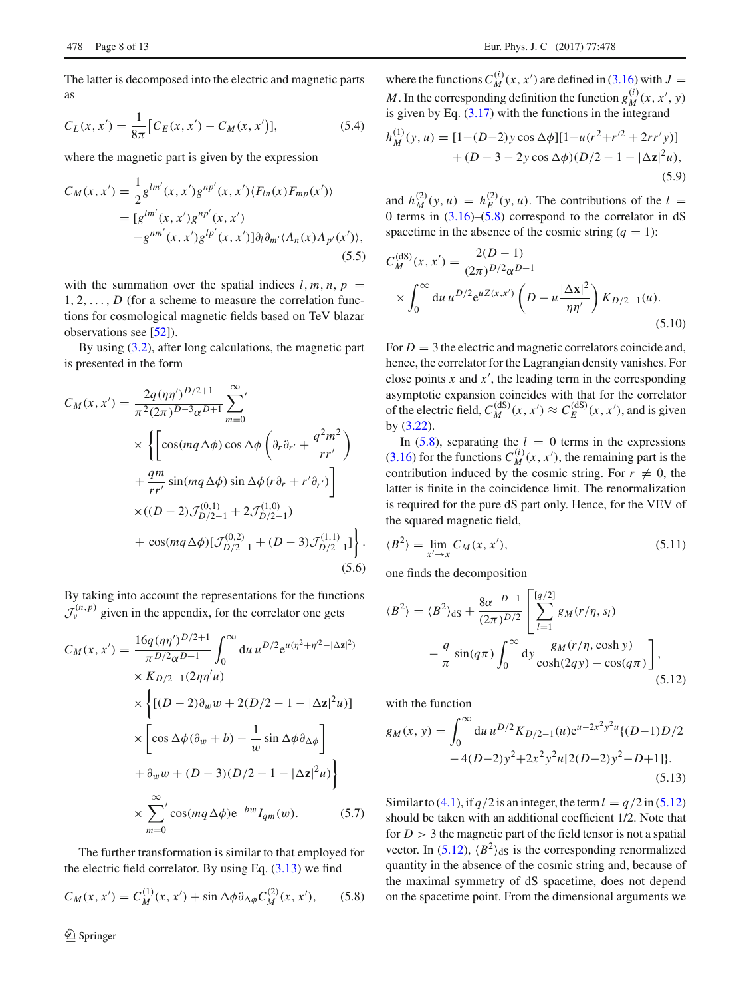The latter is decomposed into the electric and magnetic parts as

$$
C_L(x, x') = \frac{1}{8\pi} \left[ C_E(x, x') - C_M(x, x') \right],\tag{5.4}
$$

where the magnetic part is given by the expression

$$
C_M(x, x') = \frac{1}{2} g^{lm'}(x, x') g^{np'}(x, x') \langle F_{ln}(x) F_{mp}(x') \rangle
$$
  
=  $[g^{lm'}(x, x') g^{np'}(x, x') \rangle$   
 $-g^{nm'}(x, x') g^{lp'}(x, x') \partial_l \partial_{m'} \langle A_n(x) A_{p'}(x') \rangle,$  (5.5)

with the summation over the spatial indices  $l, m, n, p$  =  $1, 2, \ldots, D$  (for a scheme to measure the correlation functions for cosmological magnetic fields based on TeV blazar observations see [\[52](#page-12-24)]).

By using [\(3.2\)](#page-3-2), after long calculations, the magnetic part is presented in the form

$$
C_M(x, x') = \frac{2q(\eta\eta')^{D/2+1}}{\pi^2 (2\pi)^{D-3} \alpha^{D+1}} \sum_{m=0}^{\infty}
$$
  
 
$$
\times \left\{ \left[ \cos(mq \Delta\phi) \cos \Delta\phi \left( \partial_r \partial_{r'} + \frac{q^2 m^2}{r r'} \right) + \frac{qm}{rr'} \sin(mq \Delta\phi) \sin \Delta\phi (r \partial_r + r' \partial_{r'}) \right] \right\}
$$
  
 
$$
\times ((D-2) \mathcal{J}_{D/2-1}^{(0,1)} + 2 \mathcal{J}_{D/2-1}^{(1,0)})
$$
  
 
$$
+ \cos(mq \Delta\phi) [\mathcal{J}_{D/2-1}^{(0,2)} + (D-3) \mathcal{J}_{D/2-1}^{(1,1)}] \right\}.
$$
  
(5.6)

By taking into account the representations for the functions  $\mathcal{J}_{\nu}^{(n,p)}$  given in the appendix, for the correlator one gets

<span id="page-7-3"></span>
$$
C_M(x, x') = \frac{16q(\eta\eta')^{D/2+1}}{\pi^{D/2}\alpha^{D+1}} \int_0^\infty du \, u^{D/2} e^{u(\eta^2 + \eta'^2 - |\Delta z|^2)}
$$
  
\n
$$
\times K_{D/2-1}(2\eta\eta'u)
$$
  
\n
$$
\times \left\{ [(D-2)\partial_w w + 2(D/2 - 1 - |\Delta z|^2 u)] \right\}
$$
  
\n
$$
\times \left[ \cos \Delta \phi (\partial_w + b) - \frac{1}{w} \sin \Delta \phi \partial_\Delta \phi \right]
$$
  
\n
$$
+ \partial_w w + (D-3)(D/2 - 1 - |\Delta z|^2 u) \right\}
$$
  
\n
$$
\times \sum_{m=0}^\infty cos(mq \Delta \phi) e^{-bw} I_{qm}(w).
$$
 (5.7)

The further transformation is similar to that employed for the electric field correlator. By using Eq.  $(3.13)$  we find

<span id="page-7-0"></span>
$$
C_M(x, x') = C_M^{(1)}(x, x') + \sin \Delta \phi \partial_{\Delta \phi} C_M^{(2)}(x, x'), \qquad (5.8)
$$

where the functions  $C_M^{(i)}(x, x')$  are defined in [\(3.16\)](#page-4-3) with  $J =$ *M*. In the corresponding definition the function  $g_M^{(i)}(x, x', y)$ is given by Eq.  $(3.17)$  with the functions in the integrand

$$
h_M^{(1)}(y, u) = [1 - (D-2)y \cos \Delta \phi][1 - u(r^2 + r^2 + 2rr'y)] + (D - 3 - 2y \cos \Delta \phi)(D/2 - 1 - |\Delta z|^2 u),
$$
\n(5.9)

and  $h_M^{(2)}(y, u) = h_E^{(2)}(y, u)$ . The contributions of the  $l =$ 0 terms in  $(3.16)$ – $(5.8)$  correspond to the correlator in dS spacetime in the absence of the cosmic string  $(q = 1)$ :

$$
C_M^{(\text{dS})}(x, x') = \frac{2(D-1)}{(2\pi)^{D/2} \alpha^{D+1}} \times \int_0^\infty \text{d}u \, u^{D/2} e^{u Z(x, x')} \left( D - u \frac{|\Delta \mathbf{x}|^2}{\eta \eta'} \right) K_{D/2-1}(u). \tag{5.10}
$$

For  $D = 3$  the electric and magnetic correlators coincide and, hence, the correlator for the Lagrangian density vanishes. For close points  $x$  and  $x'$ , the leading term in the corresponding asymptotic expansion coincides with that for the correlator of the electric field,  $C_M^{(dS)}(x, x') \approx C_E^{(dS)}(x, x')$ , and is given by [\(3.22\)](#page-5-6).

In  $(5.8)$ , separating the  $l = 0$  terms in the expressions [\(3.16\)](#page-4-3) for the functions  $C_M^{(i)}(x, x')$ , the remaining part is the contribution induced by the cosmic string. For  $r \neq 0$ , the latter is finite in the coincidence limit. The renormalization is required for the pure dS part only. Hence, for the VEV of the squared magnetic field,

$$
\langle B^2 \rangle = \lim_{x' \to x} C_M(x, x'), \tag{5.11}
$$

one finds the decomposition

<span id="page-7-1"></span>
$$
\langle B^2 \rangle = \langle B^2 \rangle_{\text{dS}} + \frac{8\alpha^{-D-1}}{(2\pi)^{D/2}} \left[ \sum_{l=1}^{[q/2]} g_M(r/\eta, s_l) - \frac{q}{\pi} \sin(q\pi) \int_0^\infty \text{d}y \frac{g_M(r/\eta, \cosh y)}{\cosh(2qy) - \cos(q\pi)} \right],
$$
\n(5.12)

with the function

<span id="page-7-2"></span>
$$
g_M(x, y) = \int_0^\infty du \, u^{D/2} K_{D/2-1}(u) e^{u-2x^2 y^2 u} \{ (D-1)D/2 -4(D-2) y^2 + 2x^2 y^2 u [2(D-2) y^2 - D+1] \}. \tag{5.13}
$$

Similar to [\(4.1\)](#page-5-1), if  $q/2$  is an integer, the term  $l = q/2$  in [\(5.12\)](#page-7-1) should be taken with an additional coefficient 1/2. Note that for  $D > 3$  the magnetic part of the field tensor is not a spatial vector. In [\(5.12\)](#page-7-1),  $\langle B^2 \rangle_{\text{dS}}$  is the corresponding renormalized quantity in the absence of the cosmic string and, because of the maximal symmetry of dS spacetime, does not depend on the spacetime point. From the dimensional arguments we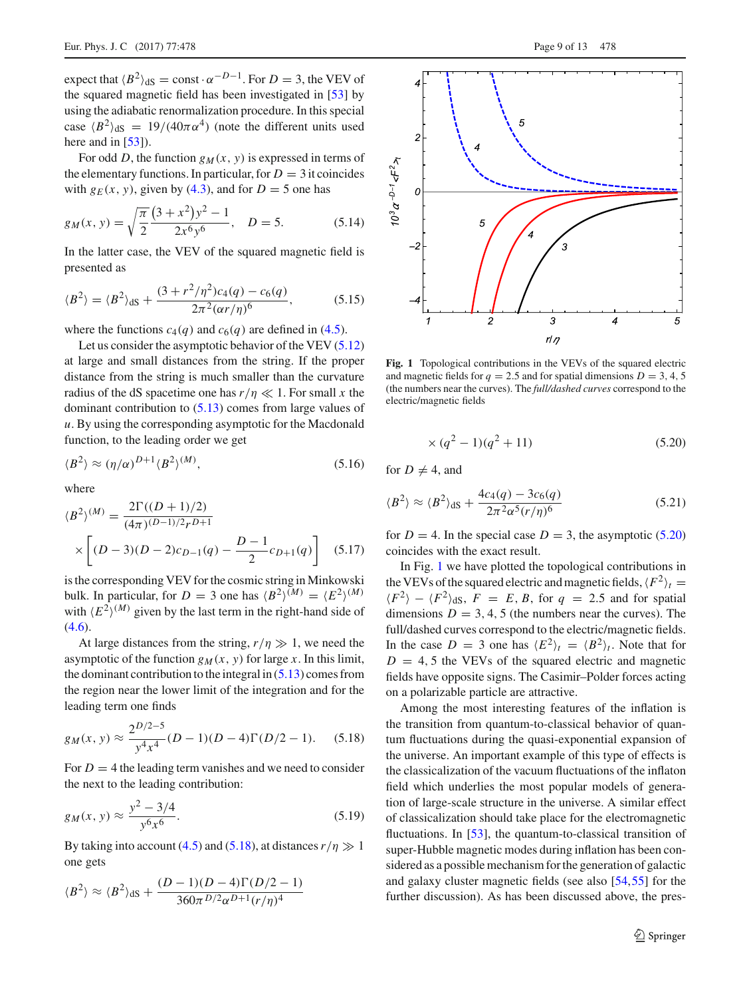expect that  $\langle B^2 \rangle_{\text{dS}} = \text{const} \cdot \alpha^{-D-1}$ . For  $D = 3$ , the VEV of the squared magnetic field has been investigated in [\[53\]](#page-12-25) by using the adiabatic renormalization procedure. In this special case  $\langle B^2 \rangle_{\rm dS} = 19/(40\pi\alpha^4)$  (note the different units used here and in [\[53](#page-12-25)]).

For odd *D*, the function  $g_M(x, y)$  is expressed in terms of the elementary functions. In particular, for  $D = 3$  it coincides with  $g_F(x, y)$ , given by [\(4.3\)](#page-5-7), and for  $D = 5$  one has

$$
g_M(x, y) = \sqrt{\frac{\pi}{2}} \frac{(3+x^2)y^2 - 1}{2x^6y^6}, \quad D = 5.
$$
 (5.14)

In the latter case, the VEV of the squared magnetic field is presented as

$$
\langle B^2 \rangle = \langle B^2 \rangle_{\text{dS}} + \frac{(3 + r^2/\eta^2)c_4(q) - c_6(q)}{2\pi^2(\alpha r/\eta)^6},\tag{5.15}
$$

where the functions  $c_4(q)$  and  $c_6(q)$  are defined in [\(4.5\)](#page-5-4).

Let us consider the asymptotic behavior of the VEV [\(5.12\)](#page-7-1) at large and small distances from the string. If the proper distance from the string is much smaller than the curvature radius of the dS spacetime one has  $r/\eta \ll 1$ . For small *x* the dominant contribution to [\(5.13\)](#page-7-2) comes from large values of *u*. By using the corresponding asymptotic for the Macdonald function, to the leading order we get

$$
\langle B^2 \rangle \approx (\eta/\alpha)^{D+1} \langle B^2 \rangle^{(M)},\tag{5.16}
$$

where

$$
\langle B^2 \rangle^{(M)} = \frac{2\Gamma((D+1)/2)}{(4\pi)^{(D-1)/2}r^{D+1}} \times \left[ (D-3)(D-2)c_{D-1}(q) - \frac{D-1}{2}c_{D+1}(q) \right] \quad (5.17)
$$

is the corresponding VEV for the cosmic string in Minkowski bulk. In particular, for  $D = 3$  one has  $\langle B^2 \rangle^{(M)} = \langle E^2 \rangle^{(M)}$ with  $\langle E^2 \rangle^{(M)}$  given by the last term in the right-hand side of  $(4.6).$  $(4.6).$ 

At large distances from the string,  $r/\eta \gg 1$ , we need the asymptotic of the function  $g_M(x, y)$  for large *x*. In this limit, the dominant contribution to the integral in  $(5.13)$  comes from the region near the lower limit of the integration and for the leading term one finds

<span id="page-8-0"></span>
$$
g_M(x, y) \approx \frac{2^{D/2 - 5}}{y^4 x^4} (D - 1)(D - 4)\Gamma(D/2 - 1). \tag{5.18}
$$

For  $D = 4$  the leading term vanishes and we need to consider the next to the leading contribution:

$$
g_M(x, y) \approx \frac{y^2 - 3/4}{y^6 x^6}.
$$
\n(5.19)

By taking into account [\(4.5\)](#page-5-4) and [\(5.18\)](#page-8-0), at distances  $r/\eta \gg 1$ one gets

<span id="page-8-1"></span>
$$
\langle B^2 \rangle \approx \langle B^2 \rangle_{\text{dS}} + \frac{(D-1)(D-4)\Gamma(D/2-1)}{360\pi^{D/2}\alpha^{D+1}(r/\eta)^4}
$$



<span id="page-8-2"></span>**Fig. 1** Topological contributions in the VEVs of the squared electric and magnetic fields for  $q = 2.5$  and for spatial dimensions  $D = 3, 4, 5$ (the numbers near the curves). The *full/dashed curves* correspond to the electric/magnetic fields

$$
\times (q^2 - 1)(q^2 + 11) \tag{5.20}
$$

for  $D \neq 4$ , and

$$
\langle B^2 \rangle \approx \langle B^2 \rangle_{\text{dS}} + \frac{4c_4(q) - 3c_6(q)}{2\pi^2 \alpha^5 (r/\eta)^6} \tag{5.21}
$$

for  $D = 4$ . In the special case  $D = 3$ , the asymptotic [\(5.20\)](#page-8-1) coincides with the exact result.

In Fig. [1](#page-8-2) we have plotted the topological contributions in the VEVs of the squared electric and magnetic fields,  $\langle F^2 \rangle_t =$  $\langle F^2 \rangle - \langle F^2 \rangle_{dS}$ ,  $F = E$ , *B*, for  $q = 2.5$  and for spatial dimensions  $D = 3, 4, 5$  (the numbers near the curves). The full/dashed curves correspond to the electric/magnetic fields. In the case  $D = 3$  one has  $\langle E^2 \rangle_t = \langle B^2 \rangle_t$ . Note that for  $D = 4, 5$  the VEVs of the squared electric and magnetic fields have opposite signs. The Casimir–Polder forces acting on a polarizable particle are attractive.

Among the most interesting features of the inflation is the transition from quantum-to-classical behavior of quantum fluctuations during the quasi-exponential expansion of the universe. An important example of this type of effects is the classicalization of the vacuum fluctuations of the inflaton field which underlies the most popular models of generation of large-scale structure in the universe. A similar effect of classicalization should take place for the electromagnetic fluctuations. In [\[53\]](#page-12-25), the quantum-to-classical transition of super-Hubble magnetic modes during inflation has been considered as a possible mechanism for the generation of galactic and galaxy cluster magnetic fields (see also [\[54](#page-12-26)[,55](#page-12-27)] for the further discussion). As has been discussed above, the pres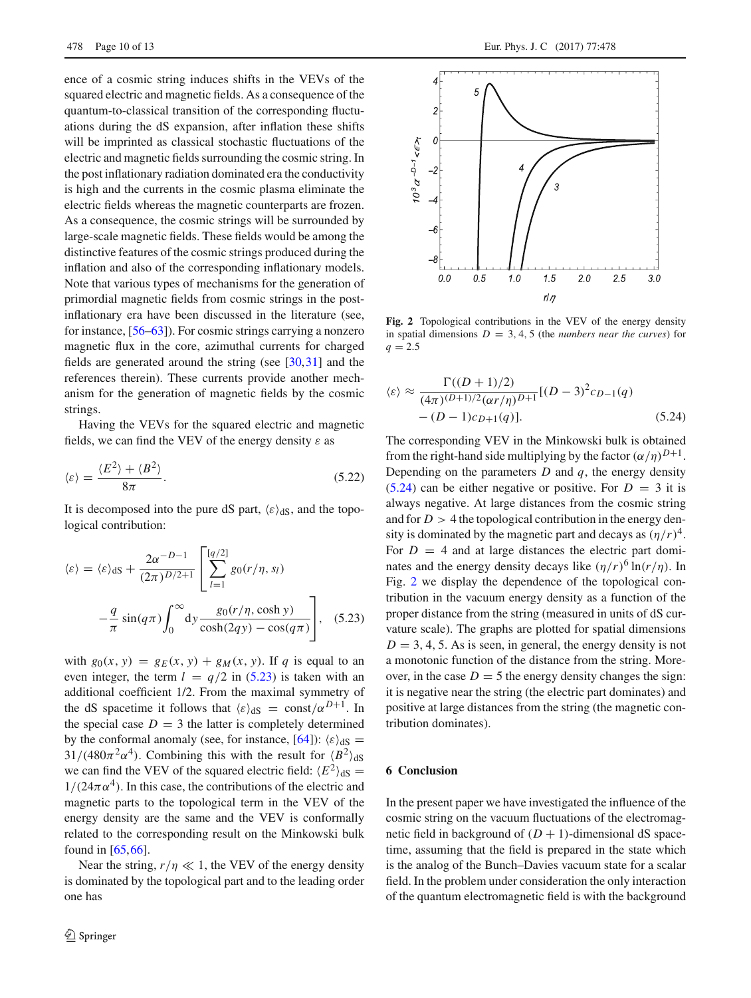ence of a cosmic string induces shifts in the VEVs of the squared electric and magnetic fields. As a consequence of the quantum-to-classical transition of the corresponding fluctuations during the dS expansion, after inflation these shifts will be imprinted as classical stochastic fluctuations of the electric and magnetic fields surrounding the cosmic string. In the post inflationary radiation dominated era the conductivity is high and the currents in the cosmic plasma eliminate the electric fields whereas the magnetic counterparts are frozen. As a consequence, the cosmic strings will be surrounded by large-scale magnetic fields. These fields would be among the distinctive features of the cosmic strings produced during the inflation and also of the corresponding inflationary models. Note that various types of mechanisms for the generation of primordial magnetic fields from cosmic strings in the postinflationary era have been discussed in the literature (see, for instance, [\[56](#page-12-28)[–63\]](#page-12-29)). For cosmic strings carrying a nonzero magnetic flux in the core, azimuthal currents for charged fields are generated around the string (see  $[30,31]$  $[30,31]$  $[30,31]$  and the references therein). These currents provide another mechanism for the generation of magnetic fields by the cosmic strings.

Having the VEVs for the squared electric and magnetic fields, we can find the VEV of the energy density  $\varepsilon$  as

$$
\langle \varepsilon \rangle = \frac{\langle E^2 \rangle + \langle B^2 \rangle}{8\pi}.
$$
\n(5.22)

It is decomposed into the pure dS part,  $\langle \varepsilon \rangle$ <sub>dS</sub>, and the topological contribution:

<span id="page-9-1"></span>
$$
\langle \varepsilon \rangle = \langle \varepsilon \rangle_{\text{dS}} + \frac{2\alpha^{-D-1}}{(2\pi)^{D/2+1}} \left[ \sum_{l=1}^{\lceil q/2 \rceil} g_0(r/\eta, s_l) - \frac{q}{\pi} \sin(q\pi) \int_0^\infty \mathrm{d}y \frac{g_0(r/\eta, \cosh y)}{\cosh(2qy) - \cos(q\pi)} \right], \quad (5.23)
$$

with  $g_0(x, y) = g_E(x, y) + g_M(x, y)$ . If *q* is equal to an even integer, the term  $l = q/2$  in [\(5.23\)](#page-9-1) is taken with an additional coefficient 1/2. From the maximal symmetry of the dS spacetime it follows that  $\langle \varepsilon \rangle_{\text{dS}} = \text{const}/\alpha^{D+1}$ . In the special case  $D = 3$  the latter is completely determined by the conformal anomaly (see, for instance,  $[64]$ ):  $\langle \varepsilon \rangle_{\text{dS}} =$  $31/(480\pi^2\alpha^4)$ . Combining this with the result for  $\langle B^2 \rangle_{\text{dS}}$ we can find the VEV of the squared electric field:  $\langle E^2 \rangle_{\text{dS}} =$  $1/(24\pi\alpha^4)$ . In this case, the contributions of the electric and magnetic parts to the topological term in the VEV of the energy density are the same and the VEV is conformally related to the corresponding result on the Minkowski bulk found in [\[65](#page-12-31),[66\]](#page-12-32).

Near the string,  $r/\eta \ll 1$ , the VEV of the energy density is dominated by the topological part and to the leading order one has



<span id="page-9-3"></span>**Fig. 2** Topological contributions in the VEV of the energy density in spatial dimensions  $D = 3, 4, 5$  (the *numbers near the curves*) for  $q = 2.5$ 

<span id="page-9-2"></span>
$$
\langle \varepsilon \rangle \approx \frac{\Gamma((D+1)/2)}{(4\pi)^{(D+1)/2} (\alpha r/\eta)^{D+1}} [(D-3)^2 c_{D-1}(q) - (D-1)c_{D+1}(q)].
$$
\n(5.24)

The corresponding VEV in the Minkowski bulk is obtained from the right-hand side multiplying by the factor  $(\alpha/\eta)^{D+1}$ . Depending on the parameters *D* and *q*, the energy density [\(5.24\)](#page-9-2) can be either negative or positive. For  $D = 3$  it is always negative. At large distances from the cosmic string and for  $D > 4$  the topological contribution in the energy density is dominated by the magnetic part and decays as  $(\eta/r)^4$ . For  $D = 4$  and at large distances the electric part dominates and the energy density decays like  $(\eta/r)^6 \ln(r/\eta)$ . In Fig. [2](#page-9-3) we display the dependence of the topological contribution in the vacuum energy density as a function of the proper distance from the string (measured in units of dS curvature scale). The graphs are plotted for spatial dimensions  $D = 3, 4, 5$ . As is seen, in general, the energy density is not a monotonic function of the distance from the string. Moreover, in the case  $D = 5$  the energy density changes the sign: it is negative near the string (the electric part dominates) and positive at large distances from the string (the magnetic contribution dominates).

## <span id="page-9-0"></span>**6 Conclusion**

In the present paper we have investigated the influence of the cosmic string on the vacuum fluctuations of the electromagnetic field in background of  $(D + 1)$ -dimensional dS spacetime, assuming that the field is prepared in the state which is the analog of the Bunch–Davies vacuum state for a scalar field. In the problem under consideration the only interaction of the quantum electromagnetic field is with the background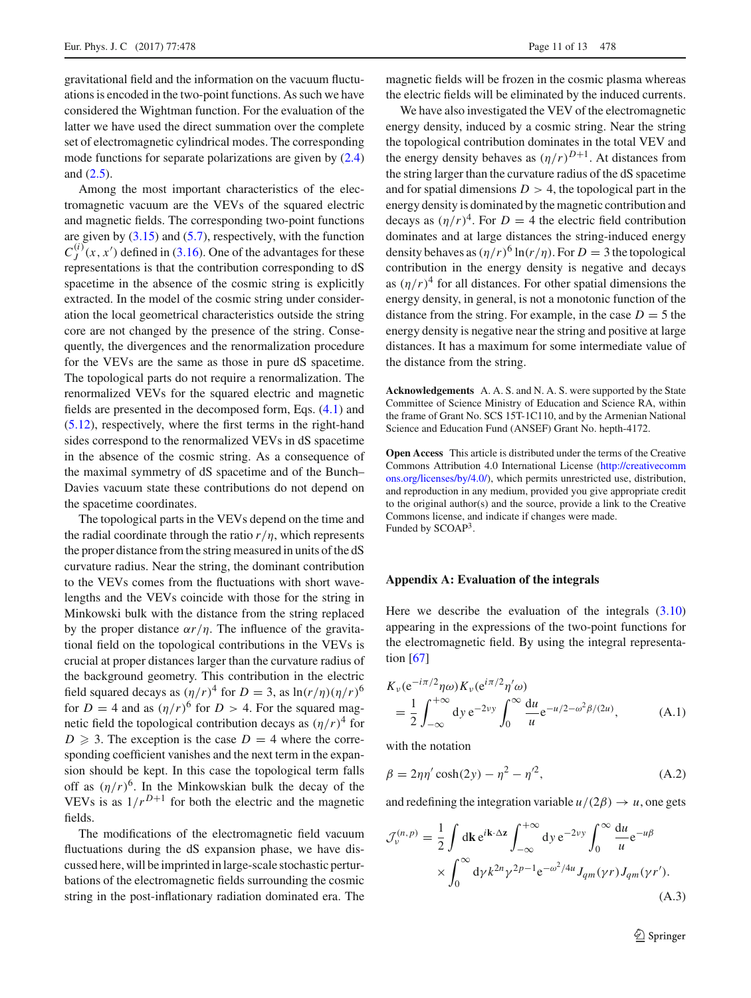gravitational field and the information on the vacuum fluctuations is encoded in the two-point functions. As such we have considered the Wightman function. For the evaluation of the latter we have used the direct summation over the complete set of electromagnetic cylindrical modes. The corresponding mode functions for separate polarizations are given by [\(2.4\)](#page-2-1) and [\(2.5\)](#page-2-2).

Among the most important characteristics of the electromagnetic vacuum are the VEVs of the squared electric and magnetic fields. The corresponding two-point functions are given by  $(3.15)$  and  $(5.7)$ , respectively, with the function  $C_J^{(i)}(x, x')$  defined in [\(3.16\)](#page-4-3). One of the advantages for these representations is that the contribution corresponding to dS spacetime in the absence of the cosmic string is explicitly extracted. In the model of the cosmic string under consideration the local geometrical characteristics outside the string core are not changed by the presence of the string. Consequently, the divergences and the renormalization procedure for the VEVs are the same as those in pure dS spacetime. The topological parts do not require a renormalization. The renormalized VEVs for the squared electric and magnetic fields are presented in the decomposed form, Eqs. [\(4.1\)](#page-5-1) and [\(5.12\)](#page-7-1), respectively, where the first terms in the right-hand sides correspond to the renormalized VEVs in dS spacetime in the absence of the cosmic string. As a consequence of the maximal symmetry of dS spacetime and of the Bunch– Davies vacuum state these contributions do not depend on the spacetime coordinates.

The topological parts in the VEVs depend on the time and the radial coordinate through the ratio  $r/\eta$ , which represents the proper distance from the string measured in units of the dS curvature radius. Near the string, the dominant contribution to the VEVs comes from the fluctuations with short wavelengths and the VEVs coincide with those for the string in Minkowski bulk with the distance from the string replaced by the proper distance  $\alpha r/\eta$ . The influence of the gravitational field on the topological contributions in the VEVs is crucial at proper distances larger than the curvature radius of the background geometry. This contribution in the electric field squared decays as  $(\eta/r)^4$  for  $D = 3$ , as  $\ln(r/\eta)(\eta/r)^6$ for  $D = 4$  and as  $(\eta/r)^6$  for  $D > 4$ . For the squared magnetic field the topological contribution decays as  $(\eta/r)^4$  for  $D \ge 3$ . The exception is the case  $D = 4$  where the corresponding coefficient vanishes and the next term in the expansion should be kept. In this case the topological term falls off as  $(\eta/r)^6$ . In the Minkowskian bulk the decay of the VEVs is as  $1/r^{D+1}$  for both the electric and the magnetic fields.

The modifications of the electromagnetic field vacuum fluctuations during the dS expansion phase, we have discussed here, will be imprinted in large-scale stochastic perturbations of the electromagnetic fields surrounding the cosmic string in the post-inflationary radiation dominated era. The

magnetic fields will be frozen in the cosmic plasma whereas the electric fields will be eliminated by the induced currents.

We have also investigated the VEV of the electromagnetic energy density, induced by a cosmic string. Near the string the topological contribution dominates in the total VEV and the energy density behaves as  $(\eta/r)^{D+1}$ . At distances from the string larger than the curvature radius of the dS spacetime and for spatial dimensions  $D > 4$ , the topological part in the energy density is dominated by the magnetic contribution and decays as  $(\eta/r)^4$ . For  $D = 4$  the electric field contribution dominates and at large distances the string-induced energy density behaves as  $(\eta/r)^6 \ln(r/\eta)$ . For  $D = 3$  the topological contribution in the energy density is negative and decays as  $(\eta/r)^4$  for all distances. For other spatial dimensions the energy density, in general, is not a monotonic function of the distance from the string. For example, in the case  $D = 5$  the energy density is negative near the string and positive at large distances. It has a maximum for some intermediate value of the distance from the string.

**Acknowledgements** A. A. S. and N. A. S. were supported by the State Committee of Science Ministry of Education and Science RA, within the frame of Grant No. SCS 15T-1C110, and by the Armenian National Science and Education Fund (ANSEF) Grant No. hepth-4172.

**Open Access** This article is distributed under the terms of the Creative Commons Attribution 4.0 International License [\(http://creativecomm](http://creativecommons.org/licenses/by/4.0/) [ons.org/licenses/by/4.0/\)](http://creativecommons.org/licenses/by/4.0/), which permits unrestricted use, distribution, and reproduction in any medium, provided you give appropriate credit to the original author(s) and the source, provide a link to the Creative Commons license, and indicate if changes were made. Funded by SCOAP<sup>3</sup>.

### **Appendix A: Evaluation of the integrals**

Here we describe the evaluation of the integrals [\(3.10\)](#page-4-0) appearing in the expressions of the two-point functions for the electromagnetic field. By using the integral representation [\[67](#page-12-33)]

$$
K_{\nu} (e^{-i\pi/2} \eta \omega) K_{\nu} (e^{i\pi/2} \eta' \omega)
$$
  
=  $\frac{1}{2} \int_{-\infty}^{+\infty} dy e^{-2\nu y} \int_{0}^{\infty} \frac{du}{u} e^{-u/2 - \omega^2 \beta/(2u)},$  (A.1)

with the notation

$$
\beta = 2\eta \eta' \cosh(2y) - \eta^2 - \eta'^2,
$$
\n(A.2)

and redefining the integration variable  $u/(2\beta) \rightarrow u$ , one gets

$$
\mathcal{J}_{\nu}^{(n,p)} = \frac{1}{2} \int d\mathbf{k} e^{i\mathbf{k} \cdot \Delta \mathbf{z}} \int_{-\infty}^{+\infty} dy e^{-2\nu y} \int_{0}^{\infty} \frac{du}{u} e^{-u\beta}
$$

$$
\times \int_{0}^{\infty} dy k^{2n} \gamma^{2p-1} e^{-\omega^2/4u} J_{qm}(\gamma r) J_{qm}(\gamma r'). \tag{A.3}
$$

<sup>2</sup> Springer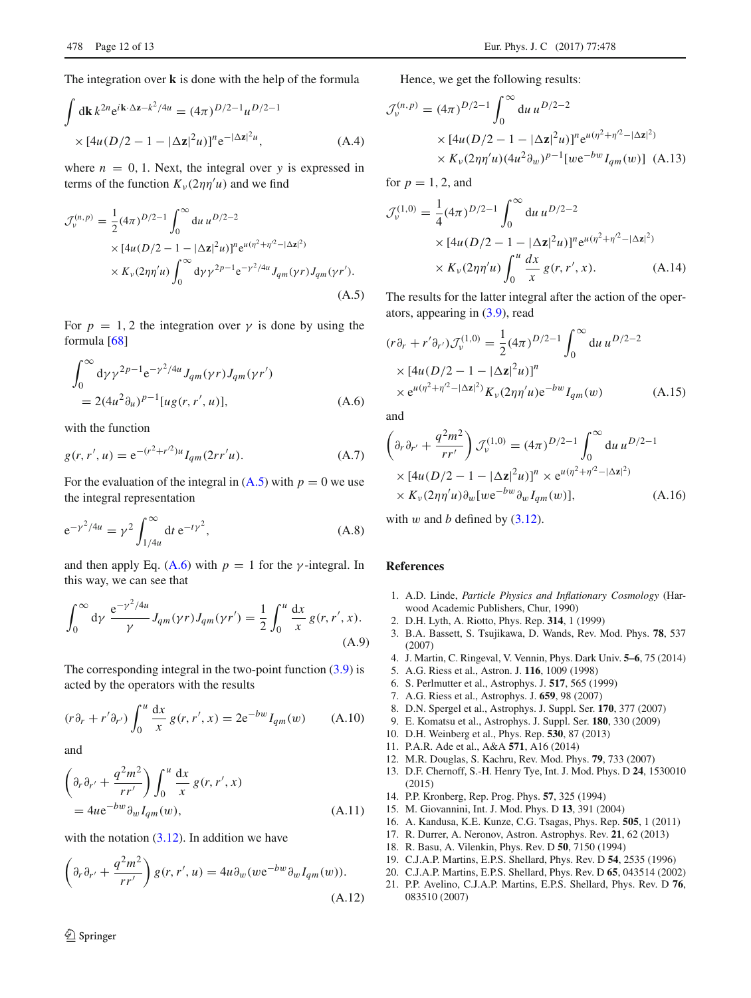The integration over **k** is done with the help of the formula

$$
\int \mathrm{d}\mathbf{k} \, k^{2n} \mathrm{e}^{i \mathbf{k} \cdot \Delta \mathbf{z} - k^2 / 4u} = (4\pi)^{D/2 - 1} u^{D/2 - 1}
$$
\n
$$
\times [4u(D/2 - 1 - |\Delta \mathbf{z}|^2 u)]^n \mathrm{e}^{-|\Delta \mathbf{z}|^2 u}, \tag{A.4}
$$

where  $n = 0, 1$ . Next, the integral over *y* is expressed in terms of the function  $K_{\nu}(2\eta\eta'u)$  and we find

<span id="page-11-13"></span>
$$
\mathcal{J}_{\nu}^{(n,p)} = \frac{1}{2} (4\pi)^{D/2 - 1} \int_0^{\infty} du \, u^{D/2 - 2}
$$
\n
$$
\times [4u(D/2 - 1 - |\Delta \mathbf{z}|^2 u)]^n e^{u(\eta^2 + \eta'^2 - |\Delta \mathbf{z}|^2)}
$$
\n
$$
\times K_{\nu} (2\eta \eta' u) \int_0^{\infty} d\gamma \gamma^{2p - 1} e^{-\gamma^2 / 4u} J_{qm}(\gamma r) J_{qm}(\gamma r').
$$
\n(A.5)

For  $p = 1, 2$  the integration over  $\gamma$  is done by using the formula [\[68](#page-12-34)]

<span id="page-11-14"></span>
$$
\int_0^{\infty} d\gamma \gamma^{2p-1} e^{-\gamma^2/4u} J_{qm}(\gamma r) J_{qm}(\gamma r')
$$
  
= 2(4u<sup>2</sup> \partial<sub>u</sub>)<sup>p-1</sup>[ug(r, r', u)], (A.6)

with the function

$$
g(r, r', u) = e^{-(r^2 + r'^2)u} I_{qm}(2rr'u).
$$
 (A.7)

For the evaluation of the integral in  $(A.5)$  with  $p = 0$  we use the integral representation

$$
e^{-\gamma^2/4u} = \gamma^2 \int_{1/4u}^{\infty} dt \, e^{-t\gamma^2}, \tag{A.8}
$$

and then apply Eq. [\(A.6\)](#page-11-14) with  $p = 1$  for the *γ*-integral. In this way, we can see that

$$
\int_0^\infty d\gamma \frac{e^{-\gamma^2/4u}}{\gamma} J_{qm}(\gamma r) J_{qm}(\gamma r') = \frac{1}{2} \int_0^u \frac{dx}{x} g(r, r', x).
$$
\n(A.9)

The corresponding integral in the two-point function  $(3.9)$  is acted by the operators with the results

$$
(r\partial_r + r'\partial_{r'}) \int_0^u \frac{\mathrm{d}x}{x} g(r, r', x) = 2e^{-bw} I_{qm}(w) \qquad (A.10)
$$

and

$$
\left(\partial_r \partial_{r'} + \frac{q^2 m^2}{r r'}\right) \int_0^u \frac{dx}{x} g(r, r', x) \n= 4u e^{-bw} \partial_w I_{qm}(w),
$$
\n(A.11)

with the notation  $(3.12)$ . In addition we have

$$
\left(\partial_r \partial_{r'} + \frac{q^2 m^2}{r r'}\right) g(r, r', u) = 4u \partial_w (w e^{-bw} \partial_w I_{qm}(w)).
$$
\n(A.12)

Hence, we get the following results:

<span id="page-11-10"></span>
$$
\mathcal{J}_{\nu}^{(n,p)} = (4\pi)^{D/2-1} \int_0^{\infty} du \, u^{D/2-2}
$$
  
×  $[4u(D/2 - 1 - |\Delta z|^2 u)]^n e^{u(\eta^2 + \eta^2 - |\Delta z|^2)}$   
×  $K_{\nu} (2\eta \eta' u) (4u^2 \partial_w)^{p-1} [we^{-bw} I_{qm}(w)]$  (A.13)

for  $p = 1, 2$ , and

$$
\mathcal{J}_{\nu}^{(1,0)} = \frac{1}{4} (4\pi)^{D/2 - 1} \int_0^{\infty} du \, u^{D/2 - 2}
$$
\n
$$
\times [4u(D/2 - 1 - |\Delta \mathbf{z}|^2 u)]^n e^{u(\eta^2 + \eta^2 - |\Delta \mathbf{z}|^2)}
$$
\n
$$
\times K_{\nu} (2\eta \eta' u) \int_0^u \frac{dx}{x} g(r, r', x). \tag{A.14}
$$

The results for the latter integral after the action of the operators, appearing in [\(3.9\)](#page-3-3), read

<span id="page-11-11"></span>
$$
(r\partial_r + r'\partial_{r'})\mathcal{J}_{\nu}^{(1,0)} = \frac{1}{2}(4\pi)^{D/2-1} \int_0^{\infty} du \, u^{D/2-2}
$$
  
×  $[4u(D/2 - 1 - |\Delta z|^2 u)]^n$   
×  $e^{u(\eta^2 + \eta'^2 - |\Delta z|^2)} K_{\nu}(2\eta\eta'u)e^{-bw} I_{qm}(w)$  (A.15)

and

<span id="page-11-12"></span>
$$
\left(\partial_r \partial_{r'} + \frac{q^2 m^2}{r r'}\right) \mathcal{J}_v^{(1,0)} = (4\pi)^{D/2-1} \int_0^\infty du \, u^{D/2-1} \times [4u(D/2 - 1 - |\Delta z|^2 u)]^n \times e^{u(\eta^2 + \eta'^2 - |\Delta z|^2)} \times K_v(2\eta \eta' u) \partial_w [we^{-bw} \partial_w I_{qm}(w)], \tag{A.16}
$$

with  $w$  and  $b$  defined by  $(3.12)$ .

# **References**

- <span id="page-11-0"></span>1. A.D. Linde, *Particle Physics and Inflationary Cosmology* (Harwood Academic Publishers, Chur, 1990)
- 2. D.H. Lyth, A. Riotto, Phys. Rep. **314**, 1 (1999)
- 3. B.A. Bassett, S. Tsujikawa, D. Wands, Rev. Mod. Phys. **78**, 537 (2007)
- <span id="page-11-1"></span>4. J. Martin, C. Ringeval, V. Vennin, Phys. Dark Univ. **5–6**, 75 (2014)
- <span id="page-11-2"></span>5. A.G. Riess et al., Astron. J. **116**, 1009 (1998)
- 6. S. Perlmutter et al., Astrophys. J. **517**, 565 (1999)
- 7. A.G. Riess et al., Astrophys. J. **659**, 98 (2007)
- 8. D.N. Spergel et al., Astrophys. J. Suppl. Ser. **170**, 377 (2007)
- 9. E. Komatsu et al., Astrophys. J. Suppl. Ser. **180**, 330 (2009)
- 10. D.H. Weinberg et al., Phys. Rep. **530**, 87 (2013)
- <span id="page-11-3"></span>11. P.A.R. Ade et al., A&A **571**, A16 (2014)
- <span id="page-11-4"></span>12. M.R. Douglas, S. Kachru, Rev. Mod. Phys. **79**, 733 (2007)
- <span id="page-11-5"></span>13. D.F. Chernoff, S.-H. Henry Tye, Int. J. Mod. Phys. D **24**, 1530010 (2015)
- <span id="page-11-6"></span>14. P.P. Kronberg, Rep. Prog. Phys. **57**, 325 (1994)
- 15. M. Giovannini, Int. J. Mod. Phys. D **13**, 391 (2004)
- 16. A. Kandusa, K.E. Kunze, C.G. Tsagas, Phys. Rep. **505**, 1 (2011)
- <span id="page-11-7"></span>17. R. Durrer, A. Neronov, Astron. Astrophys. Rev. **21**, 62 (2013)
- <span id="page-11-8"></span>18. R. Basu, A. Vilenkin, Phys. Rev. D **50**, 7150 (1994)
- 19. C.J.A.P. Martins, E.P.S. Shellard, Phys. Rev. D **54**, 2535 (1996)
- 20. C.J.A.P. Martins, E.P.S. Shellard, Phys. Rev. D **65**, 043514 (2002)
- <span id="page-11-9"></span>21. P.P. Avelino, C.J.A.P. Martins, E.P.S. Shellard, Phys. Rev. D **76**, 083510 (2007)